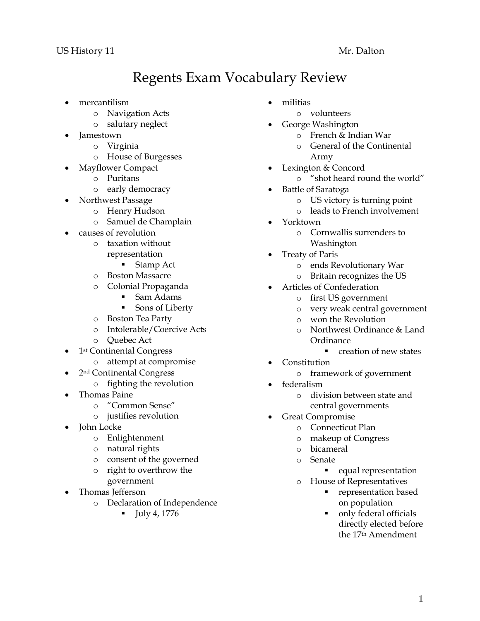## Regents Exam Vocabulary Review

- mercantilism
	- o Navigation Acts
	- o salutary neglect
- Jamestown
	- o Virginia
	- o House of Burgesses
- Mayflower Compact
	- o Puritans
	- o early democracy
- Northwest Passage
	- o Henry Hudson
	- o Samuel de Champlain
- causes of revolution
	- o taxation without representation
		- Stamp Act
	- o Boston Massacre
	- o Colonial Propaganda
		- Sam Adams
		- **Sons of Liberty**
	- o Boston Tea Party
	- o Intolerable/Coercive Acts
	- o Quebec Act
- 1st Continental Congress
	- o attempt at compromise
- 2nd Continental Congress
	- o fighting the revolution
- Thomas Paine
	- o "Common Sense"
	- o justifies revolution
- John Locke
	- o Enlightenment
	- o natural rights
	- o consent of the governed
	- o right to overthrow the government
- Thomas Jefferson
	- o Declaration of Independence
		- $-$  July 4, 1776
- militias
	- o volunteers
- George Washington
	- o French & Indian War
	- o General of the Continental Army
- Lexington & Concord
	- o "shot heard round the world"
- Battle of Saratoga
	- o US victory is turning point
	- o leads to French involvement
- Yorktown
	- o Cornwallis surrenders to Washington
- Treaty of Paris
	- o ends Revolutionary War
	- o Britain recognizes the US
- Articles of Confederation
	- o first US government
		- o very weak central government
		- o won the Revolution
		- o Northwest Ordinance & Land Ordinance
			- **•** creation of new states
- Constitution
	- o framework of government
	- federalism
		- o division between state and central governments
	- Great Compromise
		- o Connecticut Plan
		- o makeup of Congress
		- o bicameral
		- o Senate
			- **e** equal representation
		- o House of Representatives
			- representation based on population
			- only federal officials directly elected before the 17th Amendment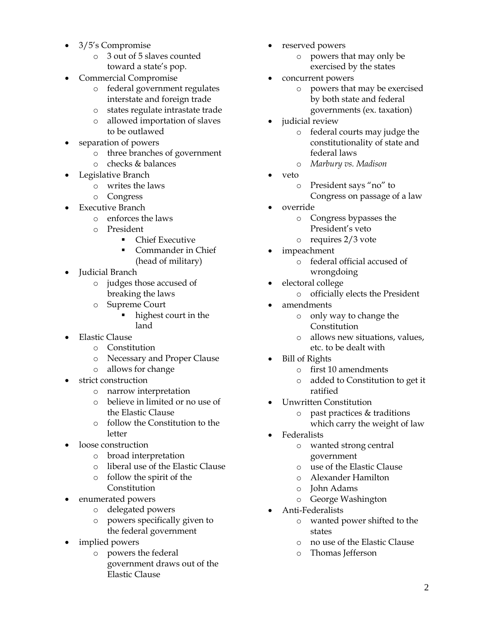- 3/5's Compromise
	- o 3 out of 5 slaves counted toward a state's pop.
- Commercial Compromise
	- o federal government regulates interstate and foreign trade
	- o states regulate intrastate trade
	- o allowed importation of slaves to be outlawed
- separation of powers
	- o three branches of government
	- o checks & balances
- Legislative Branch
	- o writes the laws
	- o Congress
- Executive Branch
	- o enforces the laws
	- o President
		- **Chief Executive**
		- Commander in Chief (head of military)
- Judicial Branch
	- o judges those accused of breaking the laws
	- o Supreme Court
		- highest court in the land
- Elastic Clause
	- o Constitution
	- o Necessary and Proper Clause
	- o allows for change
- strict construction
	- o narrow interpretation
	- o believe in limited or no use of the Elastic Clause
	- o follow the Constitution to the letter
- loose construction
	- o broad interpretation
	- o liberal use of the Elastic Clause
	- o follow the spirit of the Constitution
- enumerated powers
	- o delegated powers
	- o powers specifically given to the federal government
- implied powers
	- o powers the federal government draws out of the Elastic Clause
- reserved powers
	- o powers that may only be exercised by the states
- concurrent powers
	- o powers that may be exercised by both state and federal governments (ex. taxation)
- judicial review
	- o federal courts may judge the constitutionality of state and federal laws
	- o *Marbury vs. Madison*
- veto
	- o President says "no" to
		- Congress on passage of a law
- override
	- o Congress bypasses the President's veto
	- o requires 2/3 vote
- impeachment
	- o federal official accused of wrongdoing
	- electoral college
		- o officially elects the President
- amendments
	- o only way to change the Constitution
	- o allows new situations, values, etc. to be dealt with
- Bill of Rights
	- o first 10 amendments
	- o added to Constitution to get it ratified
- Unwritten Constitution
	- o past practices & traditions
	- which carry the weight of law
- Federalists
	- o wanted strong central government
	- o use of the Elastic Clause
	- o Alexander Hamilton
	- o John Adams
	- o George Washington
- Anti-Federalists
	- o wanted power shifted to the states
	- o no use of the Elastic Clause
	- o Thomas Jefferson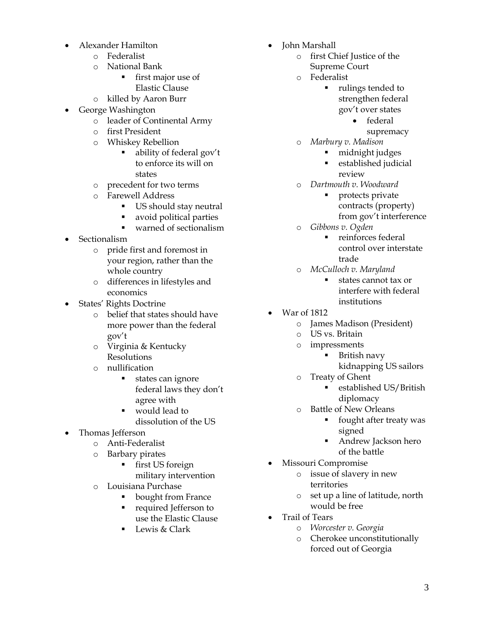- Alexander Hamilton
	- o Federalist
	- o National Bank
		- **first major use of** Elastic Clause
	- o killed by Aaron Burr
- George Washington
	- o leader of Continental Army
	- o first President
	- o Whiskey Rebellion
		- ability of federal gov't to enforce its will on states
	- o precedent for two terms
	- o Farewell Address
		- US should stay neutral
		- **a** avoid political parties
		- warned of sectionalism
- Sectionalism
	- o pride first and foremost in your region, rather than the whole country
	- o differences in lifestyles and economics
- States' Rights Doctrine
	- o belief that states should have more power than the federal gov't
	- o Virginia & Kentucky **Resolutions**
	- o nullification
		- states can ignore federal laws they don't agree with
		- would lead to
			- dissolution of the US
- Thomas Jefferson
	- o Anti-Federalist
	- o Barbary pirates
		- **first US foreign** military intervention
	- o Louisiana Purchase
		- bought from France
		- **Perfect** Jefferson to use the Elastic Clause
		- Lewis & Clark
- Iohn Marshall
	- o first Chief Justice of the Supreme Court
	- o Federalist
		- **rulings tended to** strengthen federal gov't over states
			- federal
				- supremacy
		- o *Marbury v. Madison*
			- midnight judges
			- **Exercise established judicial** review
		- o *Dartmouth v. Woodward*
			- protects private contracts (property) from gov't interference
	- o *Gibbons v. Ogden*
		- **reinforces federal** control over interstate trade
	- o *McCulloch v. Maryland*
		- states cannot tax or interfere with federal institutions
- War of 1812
	- o James Madison (President)
	- o US vs. Britain
	- o impressments
		- British navy kidnapping US sailors
	- o Treaty of Ghent
		- **Exercise Exercise Exercise I** established US/British diplomacy
	- o Battle of New Orleans
		- **fi** fought after treaty was signed
		- Andrew Jackson hero of the battle
	- Missouri Compromise
		- o issue of slavery in new territories
		- o set up a line of latitude, north would be free
- Trail of Tears
	- o *Worcester v. Georgia*
	- o Cherokee unconstitutionally forced out of Georgia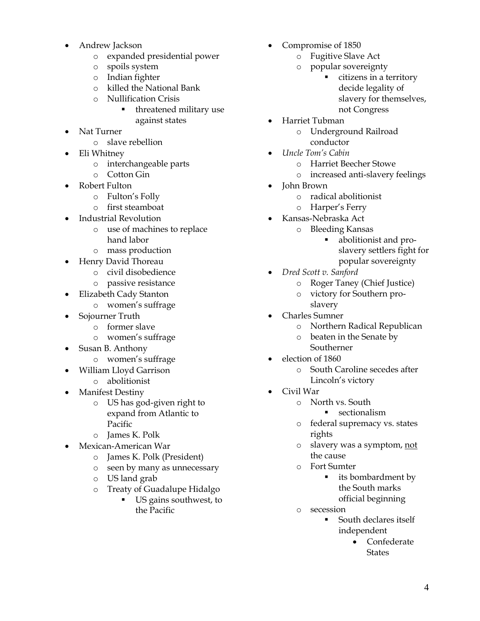- Andrew Jackson
	- o expanded presidential power
	- o spoils system
	- o Indian fighter
	- o killed the National Bank
	- o Nullification Crisis
		- **threatened military use** against states
- Nat Turner
	- o slave rebellion
- Eli Whitney
	- o interchangeable parts
	- o Cotton Gin
- Robert Fulton
	- o Fulton's Folly
	- o first steamboat
- Industrial Revolution
	- o use of machines to replace hand labor
	- o mass production
- Henry David Thoreau
	- o civil disobedience
	- o passive resistance
- Elizabeth Cady Stanton
	- o women's suffrage
- Sojourner Truth
	- o former slave
	- o women's suffrage
- Susan B. Anthony
	- o women's suffrage
- William Lloyd Garrison
	- o abolitionist
- Manifest Destiny
	- o US has god-given right to expand from Atlantic to Pacific
	- o James K. Polk
- Mexican-American War
	- o James K. Polk (President)
	- o seen by many as unnecessary
	- o US land grab
	- o Treaty of Guadalupe Hidalgo
		- US gains southwest, to the Pacific
- Compromise of 1850
	- o Fugitive Slave Act
	- o popular sovereignty
		- citizens in a territory decide legality of slavery for themselves, not Congress
- Harriet Tubman
	- o Underground Railroad conductor
	- *Uncle Tom's Cabin*
		- o Harriet Beecher Stowe
		- o increased anti-slavery feelings
- John Brown
	- o radical abolitionist
	- o Harper's Ferry
- Kansas-Nebraska Act
	- o Bleeding Kansas
		- abolitionist and proslavery settlers fight for popular sovereignty
- *Dred Scott v. Sanford*
	- o Roger Taney (Chief Justice)
	- o victory for Southern proslavery
- Charles Sumner
	- o Northern Radical Republican
	- o beaten in the Senate by Southerner
- election of 1860
	- o South Caroline secedes after Lincoln's victory
- Civil War
	- o North vs. South
		- **sectionalism**
	- o federal supremacy vs. states rights
	- o slavery was a symptom, not the cause
	- o Fort Sumter
		- **its bombardment by** the South marks official beginning
	- o secession
		- **South declares itself** independent
			- Confederate **States**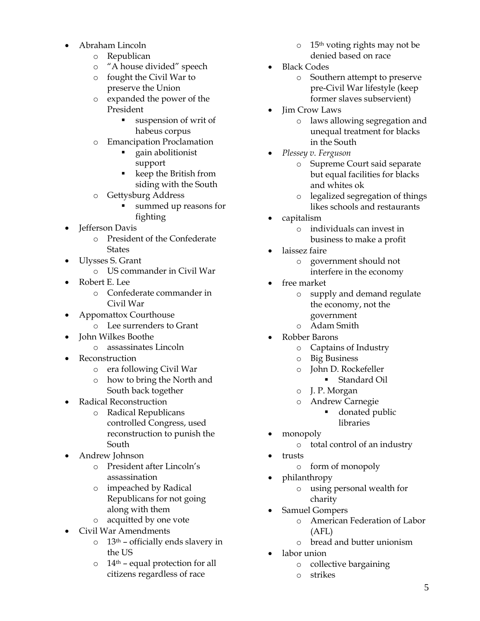- Abraham Lincoln
	- o Republican
	- o "A house divided" speech
	- o fought the Civil War to preserve the Union
	- o expanded the power of the President
		- suspension of writ of habeus corpus
	- o Emancipation Proclamation
		- gain abolitionist support
		- keep the British from siding with the South
	- o Gettysburg Address
		- summed up reasons for fighting
- Jefferson Davis
	- o President of the Confederate **States**
- Ulysses S. Grant
	- o US commander in Civil War
- Robert E. Lee
	- o Confederate commander in Civil War
- Appomattox Courthouse
	- o Lee surrenders to Grant
- John Wilkes Boothe
	- o assassinates Lincoln
- Reconstruction
	- o era following Civil War
	- o how to bring the North and South back together
- Radical Reconstruction
	- o Radical Republicans controlled Congress, used reconstruction to punish the South
- Andrew Johnson
	- o President after Lincoln's assassination
	- o impeached by Radical Republicans for not going along with them
	- o acquitted by one vote
- Civil War Amendments
	- o 13th officially ends slavery in the US
	- $\circ$  14<sup>th</sup> equal protection for all citizens regardless of race
- o 15th voting rights may not be denied based on race
- Black Codes
	- o Southern attempt to preserve pre-Civil War lifestyle (keep former slaves subservient)
- Jim Crow Laws
	- o laws allowing segregation and unequal treatment for blacks in the South
- *Plessey v. Ferguson*
	- o Supreme Court said separate but equal facilities for blacks and whites ok
	- o legalized segregation of things likes schools and restaurants
- capitalism
	- o individuals can invest in business to make a profit
- laissez faire
	- o government should not
		- interfere in the economy
- free market
	- o supply and demand regulate the economy, not the government
	- o Adam Smith
- Robber Barons
	- o Captains of Industry
	- o Big Business
	- o John D. Rockefeller
		- Standard Oil
	- o J. P. Morgan
	- o Andrew Carnegie
		- donated public
		- libraries
- monopoly
	- o total control of an industry
- trusts
	- o form of monopoly
- philanthropy
	- o using personal wealth for charity
- Samuel Gompers
	- o American Federation of Labor (AFL)
	- o bread and butter unionism
- labor union
	- o collective bargaining
	- o strikes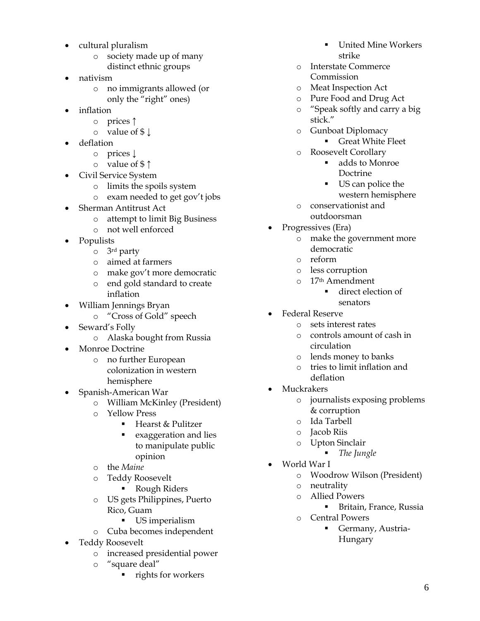- cultural pluralism
	- o society made up of many distinct ethnic groups
- nativism
	- o no immigrants allowed (or only the "right" ones)
- inflation
	- o prices ↑
	- o value of \$ ↓
- deflation
	- o prices ↓
	- o value of \$ ↑
- Civil Service System
	- o limits the spoils system
	- o exam needed to get gov't jobs
- Sherman Antitrust Act
	- o attempt to limit Big Business
	- o not well enforced
- Populists
	- o 3rd party
	- o aimed at farmers
	- o make gov't more democratic
	- o end gold standard to create inflation
- William Jennings Bryan
	- o "Cross of Gold" speech
- Seward's Folly
	- o Alaska bought from Russia
- Monroe Doctrine
	- o no further European colonization in western hemisphere
- Spanish-American War
	- o William McKinley (President)
	- o Yellow Press
		- Hearst & Pulitzer
		- **Exaggeration and lies** to manipulate public opinion
	- o the *Maine*
	- o Teddy Roosevelt
		- **Rough Riders**
	- o US gets Philippines, Puerto Rico, Guam
		- US imperialism
	- o Cuba becomes independent
- Teddy Roosevelt
	- o increased presidential power
	- "square deal"
		- rights for workers
- United Mine Workers strike
- o Interstate Commerce Commission
- o Meat Inspection Act
- o Pure Food and Drug Act
- o "Speak softly and carry a big stick."
- o Gunboat Diplomacy Great White Fleet
- o Roosevelt Corollary
	- adds to Monroe Doctrine
	- US can police the western hemisphere
- o conservationist and outdoorsman
- Progressives (Era)
	- o make the government more democratic
	- o reform
	- o less corruption
	- o 17th Amendment
		- direct election of senators
- Federal Reserve
	- o sets interest rates
	- o controls amount of cash in circulation
	- o lends money to banks
	- o tries to limit inflation and deflation
- Muckrakers
	- o journalists exposing problems & corruption
	- o Ida Tarbell
	- o Jacob Riis
	- o Upton Sinclair
		- *The Jungle*
	- World War I
		- o Woodrow Wilson (President)
		- o neutrality
		- o Allied Powers
			- **Britain, France, Russia**
		- o Central Powers
			- Germany, Austria-Hungary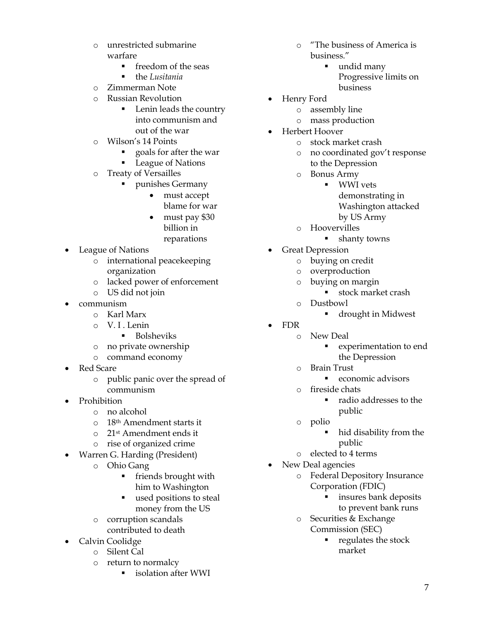- o unrestricted submarine warfare
	- **freedom of the seas**
	- the *Lusitania*
- o Zimmerman Note
- o Russian Revolution
	- **Lenin leads the country** into communism and out of the war
- o Wilson's 14 Points
	- goals for after the war
	- League of Nations
- o Treaty of Versailles
	- punishes Germany
		- must accept
		- blame for war
		- must pay \$30 billion in reparations
- League of Nations
	- o international peacekeeping organization
	- o lacked power of enforcement
	- o US did not join
- communism
	- o Karl Marx
	- o V. I . Lenin
		- **Bolsheviks**
	- o no private ownership
	- o command economy
- Red Scare
	- o public panic over the spread of communism
- Prohibition
	- o no alcohol
	- o 18th Amendment starts it
	- o 21st Amendment ends it
	- o rise of organized crime
- Warren G. Harding (President)
	- o Ohio Gang
		- **filter** friends brought with him to Washington
		- used positions to steal money from the US
	- o corruption scandals contributed to death
- Calvin Coolidge
	- o Silent Cal
		- o return to normalcy
			- **Exercise isolation after WWI**
- o "The business of America is business."
	- undid many Progressive limits on business
- Henry Ford
	- o assembly line
	- o mass production
- Herbert Hoover
	- o stock market crash
	- o no coordinated gov't response to the Depression
	- o Bonus Army
		- **WWI** vets demonstrating in
			- Washington attacked
			- by US Army
	- o Hoovervilles
		- **shanty towns**
- Great Depression
	- o buying on credit
	- o overproduction
	- o buying on margin
		- stock market crash
	- o Dustbowl
		- drought in Midwest
- FDR
	- o New Deal
		- experimentation to end the Depression
		- o Brain Trust
			- economic advisors
		- o fireside chats
			- radio addresses to the public
	- o polio
		- hid disability from the public
		- o elected to 4 terms
- New Deal agencies
	- o Federal Depository Insurance Corporation (FDIC)
		- insures bank deposits to prevent bank runs
	- o Securities & Exchange Commission (SEC)
		- $\blacksquare$  regulates the stock market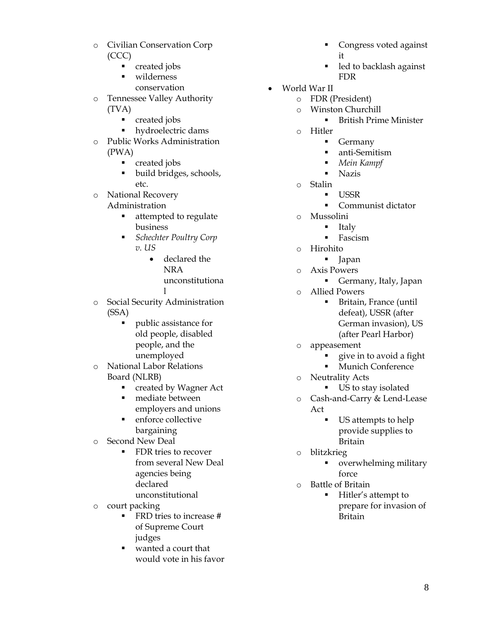- o Civilian Conservation Corp (CCC)
	- **created jobs**
	- wilderness conservation

o Tennessee Valley Authority (TVA)

- **•** created jobs
- **•** hydroelectric dams
- o Public Works Administration (PWA)
	- **created jobs**
	- build bridges, schools, etc.
- o National Recovery
	- Administration
		- **Exercise 1** attempted to regulate business
		- *Schechter Poultry Corp v. US*
			- declared the NRA unconstitutiona l
				-
- o Social Security Administration (SSA)
	- public assistance for old people, disabled people, and the unemployed
- o National Labor Relations Board (NLRB)
	- **•** created by Wagner Act
	- mediate between employers and unions
	- **•** enforce collective bargaining
- o Second New Deal
	- **FDR** tries to recover from several New Deal agencies being declared unconstitutional
- o court packing
	- FRD tries to increase # of Supreme Court judges
	- wanted a court that would vote in his favor
- Congress voted against it
- led to backlash against FDR
- World War II
	- o FDR (President)
	- o Winston Churchill
		- British Prime Minister
	- o Hitler
		- **Germany** 
			- anti-Semitism
			- *Mein Kampf*
			- **Nazis**
	- o Stalin
		- USSR
			- Communist dictator
	- o Mussolini
		- $\blacksquare$  Italy
			- **Fascism**
	- o Hirohito
		- lapan
	- o Axis Powers
		- Germany, Italy, Japan
	- o Allied Powers
		- Britain, France (until defeat), USSR (after German invasion), US (after Pearl Harbor)
	- o appeasement
		- give in to avoid a fight
		- Munich Conference
	- o Neutrality Acts
		- US to stay isolated
	- o Cash-and-Carry & Lend-Lease Act
		- US attempts to help provide supplies to Britain
	- o blitzkrieg
		- overwhelming military force
	- o Battle of Britain
		- Hitler's attempt to prepare for invasion of Britain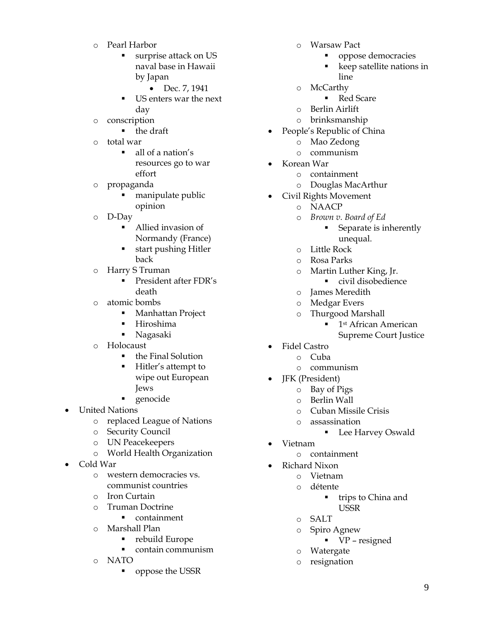- o Pearl Harbor
	- **surprise attack on US** naval base in Hawaii by Japan
		- Dec. 7, 1941
	- US enters war the next day
- o conscription
	- **the draft**
- o total war
	- all of a nation's resources go to war effort
- o propaganda
	- manipulate public opinion
- o D-Day
	- Allied invasion of Normandy (France)
	- start pushing Hitler back
- o Harry S Truman
	- President after FDR's death
- o atomic bombs
	- **Manhattan Project**
	- Hiroshima
	- Nagasaki
- o Holocaust
	- the Final Solution
	- Hitler's attempt to wipe out European Jews
	- genocide
- United Nations
	- o replaced League of Nations
	- o Security Council
	- o UN Peacekeepers
	- o World Health Organization
- Cold War
	- o western democracies vs. communist countries
	- o Iron Curtain
	- o Truman Doctrine
		- **•** containment
	- o Marshall Plan
		- rebuild Europe
		- contain communism
	- o NATO
		- oppose the USSR
- o Warsaw Pact
	- **propose democracies**
	- keep satellite nations in line
- o McCarthy
	- Red Scare
- o Berlin Airlift
- o brinksmanship
- People's Republic of China
	- o Mao Zedong
	- o communism
- Korean War
	- o containment
	- o Douglas MacArthur
- Civil Rights Movement
	- o NAACP
	- o *Brown v. Board of Ed*
		- **Separate is inherently** unequal.
	- o Little Rock
	- o Rosa Parks
	- o Martin Luther King, Jr.
		- civil disobedience
	- o James Meredith
	- o Medgar Evers
	- o Thurgood Marshall
		- <sup>1st</sup> African American
		- Supreme Court Justice
	- Fidel Castro
		- o Cuba
			- o communism
- JFK (President)
	- o Bay of Pigs
	- o Berlin Wall
	- o Cuban Missile Crisis
	- o assassination
		- Lee Harvey Oswald
- Vietnam
	- o containment
- Richard Nixon
	- o Vietnam
		- o détente
			- **trips to China and** USSR
		- o SALT
		- o Spiro Agnew
			- VP resigned
		- o Watergate
		- o resignation